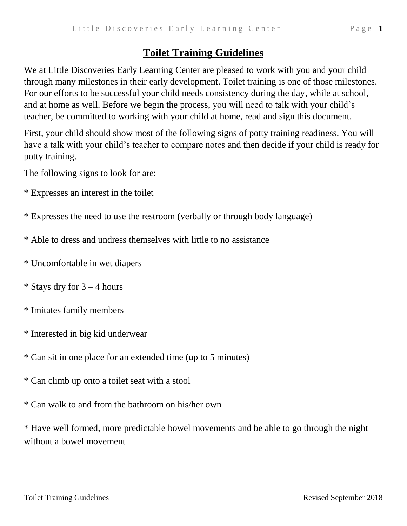## **Toilet Training Guidelines**

We at Little Discoveries Early Learning Center are pleased to work with you and your child through many milestones in their early development. Toilet training is one of those milestones. For our efforts to be successful your child needs consistency during the day, while at school, and at home as well. Before we begin the process, you will need to talk with your child's teacher, be committed to working with your child at home, read and sign this document.

First, your child should show most of the following signs of potty training readiness. You will have a talk with your child's teacher to compare notes and then decide if your child is ready for potty training.

The following signs to look for are:

- \* Expresses an interest in the toilet
- \* Expresses the need to use the restroom (verbally or through body language)
- \* Able to dress and undress themselves with little to no assistance
- \* Uncomfortable in wet diapers
- \* Stays dry for  $3 4$  hours
- \* Imitates family members
- \* Interested in big kid underwear
- \* Can sit in one place for an extended time (up to 5 minutes)
- \* Can climb up onto a toilet seat with a stool
- \* Can walk to and from the bathroom on his/her own

\* Have well formed, more predictable bowel movements and be able to go through the night without a bowel movement